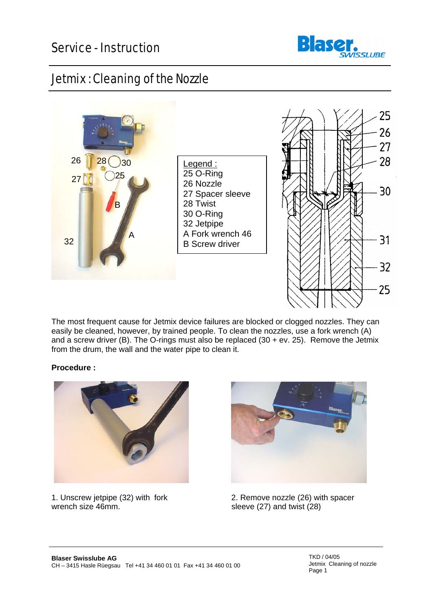

## Jetmix : Cleaning of the Nozzle



The most frequent cause for Jetmix device failures are blocked or clogged nozzles. They can easily be cleaned, however, by trained people. To clean the nozzles, use a fork wrench (A) and a screw driver (B). The O-rings must also be replaced (30 + ev. 25). Remove the Jetmix from the drum, the wall and the water pipe to clean it.

## **Procedure :**





1. Unscrew jetpipe (32) with fork 2. Remove nozzle (26) with spacer<br>wrench size 46mm.<br>Reeve (27) and twist (28) sleeve  $(27)$  and twist  $(28)$